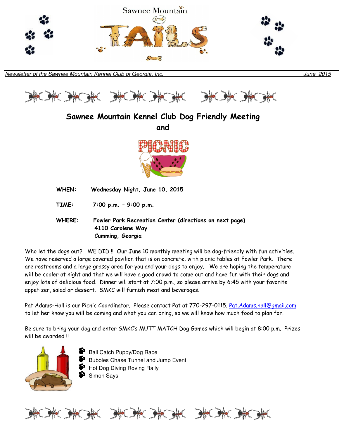



# Sawnee Mountain Kennel Club Dog Friendly Meeting and

WHEN: Wednesday Night, June 10, 2015

TIME: 7:00 p.m. – 9:00 p.m.

 WHERE: Fowler Park Recreation Center (directions on next page) 4110 Carolene Way Cumming, Georgia

Who let the dogs out? WE DID !! Our June 10 monthly meeting will be dog-friendly with fun activities. We have reserved a large covered pavilion that is on concrete, with picnic tables at Fowler Park. There are restrooms and a large grassy area for you and your dogs to enjoy. We are hoping the temperature will be cooler at night and that we will have a good crowd to come out and have fun with their dogs and enjoy lots of delicious food. Dinner will start at 7:00 p.m., so please arrive by 6:45 with your favorite appetizer, salad or dessert. SMKC will furnish meat and beverages.

Pat Adams-Hall is our Picnic Coordinator. Please contact Pat at 770-297-0115, Pat.Adams.hall@gmail.com to let her know you will be coming and what you can bring, so we will know how much food to plan for.

Be sure to bring your dog and enter SMKC's MUTT MATCH Dog Games which will begin at 8:00 p.m. Prizes will be awarded !!



 Ball Catch Puppy/Dog Race Bubbles Chase Tunnel and Jump Event Hot Dog Diving Roving Rally Simon Says

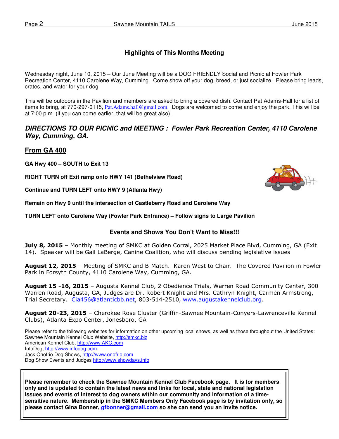## **Highlights of This Months Meeting**

Wednesday night, June 10, 2015 – Our June Meeting will be a DOG FRIENDLY Social and Picnic at Fowler Park Recreation Center, 4110 Carolene Way, Cumming. Come show off your dog, breed, or just socialize. Please bring leads, crates, and water for your dog

This will be outdoors in the Pavilion and members are asked to bring a covered dish. Contact Pat Adams-Hall for a list of items to bring, at 770-297-0115, Pat.Adams.hall@gmail.com. Dogs are welcomed to come and enjoy the park. This will be at 7:00 p.m. (if you can come earlier, that will be great also).

### **DIRECTIONS TO OUR PICNIC and MEETING : Fowler Park Recreation Center, 4110 Carolene Way, Cumming, GA.**

### **From GA 400**

**GA Hwy 400 – SOUTH to Exit 13** 

**RIGHT TURN off Exit ramp onto HWY 141 (Bethelview Road)** 

**Continue and TURN LEFT onto HWY 9 (Atlanta Hwy)** 

**Remain on Hwy 9 until the intersection of Castleberry Road and Carolene Way** 

**TURN LEFT onto Carolene Way (Fowler Park Entrance) – Follow signs to Large Pavilion** 

### **Events and Shows You Don't Want to Miss!!!**

July 8, 2015 - Monthly meeting of SMKC at Golden Corral, 2025 Market Place Blvd, Cumming, GA (Exit 14). Speaker will be Gail LaBerge, Canine Coalition, who will discuss pending legislative issues

August 12, 2015 - Meeting of SMKC and B-Match. Karen West to Chair. The Covered Pavilion in Fowler Park in Forsyth County, 4110 Carolene Way, Cumming, GA.

August 15 -16, 2015 - Augusta Kennel Club, 2 Obedience Trials, Warren Road Community Center, 300 Warren Road, Augusta, GA, Judges are Dr. Robert Knight and Mrs. Cathryn Knight, Carmen Armstrong, Trial Secretary. Cia456@atlanticbb.net, 803-514-2510, www.augustakennelclub.org.

August 20-23, 2015 – Cherokee Rose Cluster (Griffin-Sawnee Mountain-Conyers-Lawrenceville Kennel Clubs), Atlanta Expo Center, Jonesboro, GA

Please refer to the following websites for information on other upcoming local shows, as well as those throughout the United States: Sawnee Mountain Kennel Club Website, http://smkc.biz American Kennel Club, http://www.AKC.com InfoDog, http://www.infodog.com Jack Onofrio Dog Shows, http://www.onofrio.com Dog Show Events and Judges http://www.showdays.info

**Please remember to check the Sawnee Mountain Kennel Club Facebook page. It is for members only and is updated to contain the latest news and links for local, state and national legislation issues and events of interest to dog owners within our community and information of a timesensitive nature. Membership in the SMKC Members Only Facebook page is by invitation only, so please contact Gina Bonner, gfbonner@gmail.com so she can send you an invite notice.** 

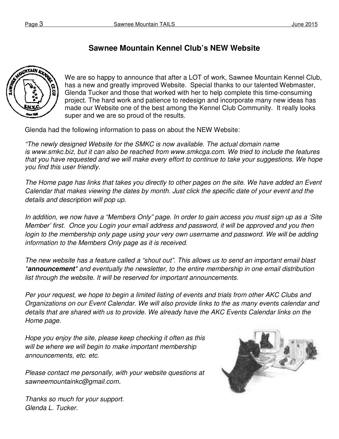## **Sawnee Mountain Kennel Club's NEW Website**



We are so happy to announce that after a LOT of work, Sawnee Mountain Kennel Club, has a new and greatly improved Website. Special thanks to our talented Webmaster, Glenda Tucker and those that worked with her to help complete this time-consuming project. The hard work and patience to redesign and incorporate many new ideas has made our Website one of the best among the Kennel Club Community. It really looks super and we are so proud of the results.

Glenda had the following information to pass on about the NEW Website:

"The newly designed Website for the SMKC is now available. The actual domain name is www.smkc.biz, but it can also be reached from www.smkcga.com. We tried to include the features that you have requested and we will make every effort to continue to take your suggestions. We hope you find this user friendly.

The Home page has links that takes you directly to other pages on the site. We have added an Event Calendar that makes viewing the dates by month. Just click the specific date of your event and the details and description will pop up.

In addition, we now have a "Members Only" page. In order to gain access you must sign up as a 'Site Member' first. Once you Login your email address and password, it will be approved and you then login to the membership only page using your very own username and password. We will be adding information to the Members Only page as it is received.

The new website has a feature called a "shout out". This allows us to send an important email blast \***announcement**\* and eventually the newsletter, to the entire membership in one email distribution list through the website. It will be reserved for important announcements.

Per your request, we hope to begin a limited listing of events and trials from other AKC Clubs and Organizations on our Event Calendar. We will also provide links to the as many events calendar and details that are shared with us to provide. We already have the AKC Events Calendar links on the Home page.

Hope you enjoy the site, please keep checking it often as this will be where we will begin to make important membership announcements, etc. etc.

Please contact me personally, with your website questions at sawneemountainkc@gmail.com.



Thanks so much for your support. Glenda L. Tucker.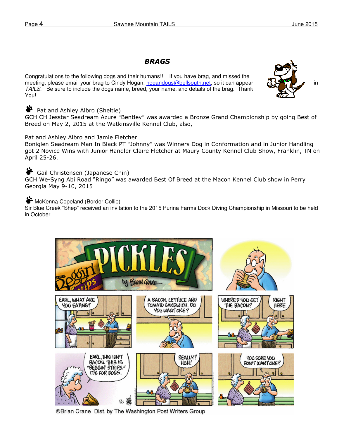## BRAGS

Congratulations to the following dogs and their humans!!! If you have brag, and missed the meeting, please email your brag to Cindy Hogan, hogandogs@bellsouth.net, so it can appear and  $\mathbb{E} \mathcal{L}$  in TAILS. Be sure to include the dogs name, breed, your name, and details of the brag. Thank You!



### **Pat and Ashley Albro (Sheltie)**

GCH CH Jesstar Seadream Azure "Bentley" was awarded a Bronze Grand Championship by going Best of Breed on May 2, 2015 at the Watkinsville Kennel Club, also,

### Pat and Ashley Albro and Jamie Fletcher

Boniglen Seadream Man In Black PT "Johnny" was Winners Dog in Conformation and in Junior Handling got 2 Novice Wins with Junior Handler Claire Fletcher at Maury County Kennel Club Show, Franklin, TN on April 25-26.

## Gail Christensen (Japanese Chin)

GCH We-Syng Abi Road "Ringo" was awarded Best Of Breed at the Macon Kennel Club show in Perry Georgia May 9-10, 2015

### **McKenna Copeland (Border Collie)**

Sir Blue Creek "Shep" received an invitation to the 2015 Purina Farms Dock Diving Championship in Missouri to be held in October.



©Brian Crane Dist. by The Washington Post Writers Group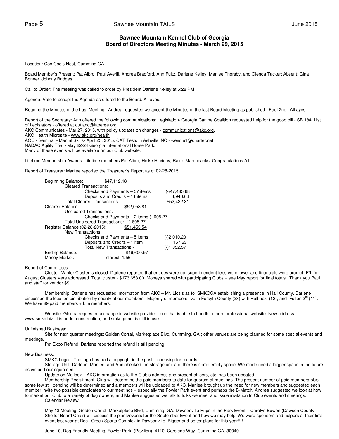### **Sawnee Mountain Kennel Club of Georgia Board of Directors Meeting Minutes - March 29, 2015**

Location: Coo Coo's Nest, Cumming GA

Board Member's Present: Pat Albro, Paul Averill, Andrea Bradford, Ann Fultz, Darlene Kelley, Marilee Thorsby, and Glenda Tucker; Absent: Gina Bonner, Johnny Bridges,

Call to Order: The meeting was called to order by President Darlene Kelley at 5:28 PM

Agenda: Vote to accept the Agenda as offered to the Board. All ayes.

Reading the Minutes of the Last Meeting: Andrea requested we accept the Minutes of the last Board Meeting as published. Paul 2nd. All ayes.

Report of the Secretary: Ann offered the following communications: Legislation- Georgia Canine Coalition requested help for the good bill - SB 184. List of Legislators - offered at outland@laberge.org.

AKC Communicates - Mar 27, 2015, with policy updates on changes - communications@akc.org,

AKC Health Microsite - www.akc.org/health.

AOC - Seminar - Mental Skills- April 25, 2015. CAT Tests in Ashville, NC - weedle1@charter.net.

NADAC Agility Trial - May 22-24 Georgia International Horse Park.

Many of these events will be available on our Club website.

Lifetime Membership Awards: Lifetime members Pat Albro, Heike Hinrichs, Raine Marchbanks. Congratulations All!

Report of Treasurer: Marilee reported the Treasurer's Report as of 02-28-2015

| Beginning Balance:             | 112.18                                     |                |
|--------------------------------|--------------------------------------------|----------------|
|                                | <b>Cleared Transactions:</b>               |                |
|                                | Checks and Payments – 57 items             | $(-)47,485.68$ |
|                                | Deposits and Credits - 11 items            | 4,946.63       |
|                                | <b>Total Cleared Transactions</b>          | \$52,432.31    |
| Cleared Balance:               | \$52,058.81                                |                |
|                                | Uncleared Transactions:                    |                |
|                                | Checks and Payments $-2$ items $(-)605.27$ |                |
|                                | Total Uncleared Transactions: (-) 605.27   |                |
| Register Balance (02-28-2015): | \$51.453.54                                |                |
|                                | New Transactions:                          |                |
|                                | Checks and Payments – 5 items              | (-)2,010.20    |
|                                | Deposits and Credits - 1 item              | 157.63         |
|                                | <b>Total New Transactions -</b>            | (-)1,852.57    |
| Ending Balance:                | \$49,600.97                                |                |
| Money Market:                  | Interest: 1.56                             |                |

Report of Committees:

 Cluster: Winter Cluster is closed. Darlene reported that entrees were up, superintendent fees were lower and financials were prompt. P/L for August Clusters were addressed. Total cluster - \$173,653.00. Moneys shared with participating Clubs – see May report for final totals. Thank you Paul and staff for vendor \$\$.

Membership: Darlene has requested information from AKC – Mr. Liosis as to SMKCGA establishing a presence in Hall County. Darlene discussed the location distribution by county of our members. Majority of members live in Forsyth County (28) with Hall next (13), and Fulton  $3^{\text{rd}}$  (11). We have 89 paid members + Life members.

Website: Glenda requested a change in website provider– one that is able to handle a more professional website. New address www.smkc.biz. It is under construction, and smkcga.net is still in use.

#### Unfinished Business:

 Site for next quarter meetings: Golden Corral, Marketplace Blvd, Cumming, GA.; other venues are being planned for some special events and meetings.

Pet Expo Refund: Darlene reported the refund is still pending.

New Business:

SMKC Logo – The logo has had a copyright in the past – checking for records.

 Storage Unit: Darlene, Marilee, and Ann checked the storage unit and there is some empty space. We made need a bigger space in the future as we add our equipment.

Update on Mailbox – AKC information as to the Club's address and present officers, etc. has been updated.

 Membership Recruitment: Gina will determine the paid members to date for quorum at meetings. The present number of paid members plus some few still pending will be determined and a members will be uploaded to AKC. Marilee brought up the need for new members and suggested each member invite two possible candidates to our meetings – especially the Fowler Park event and perhaps the B-Match. Andrea suggested we look at how to market our Club to a variety of dog owners, and Marilee suggested we talk to folks we meet and issue invitation to Club events and meetings.

Calendar Review:

May 13 Meeting, Golden Corral, Marketplace Blvd, Cumming, GA. Dawsonville Pups in the Park Event – Carolyn Bowen (Dawson County Shelter Board Chair) will discuss the plans/events for the September Event and how we may help. We were sponsors and helpers at their first event last year at Rock Creek Sports Complex in Dawsonville. Bigger and better plans for this year!!!!

June 10, Dog Friendly Meeting, Fowler Park, (Pavilion), 4110 Carolene Way, Cumming GA, 30040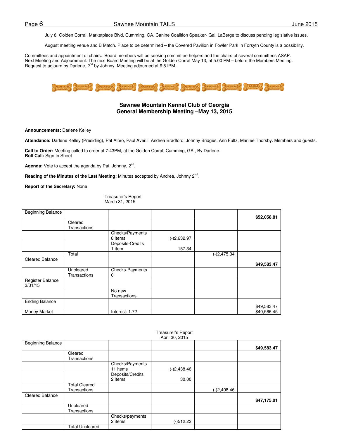July 8, Golden Corral, Marketplace Blvd, Cumming, GA. Canine Coalition Speaker- Gail LaBerge to discuss pending legislative issues.

August meeting venue and B Match. Place to be determined – the Covered Pavilion in Fowler Park in Forsyth County is a possibility.

Committees and appointment of chairs: Board members will be seeking committee helpers and the chairs of several committees ASAP. Next Meeting and Adjournment: The next Board Meeting will be at the Golden Corral May 13, at 5:00 PM – before the Members Meeting. Request to adjourn by Darlene, 2<sup>nd</sup> by Johnny. Meeting adjourned at 6:51 PM.



#### **Sawnee Mountain Kennel Club of Georgia General Membership Meeting –May 13, 2015**

**Announcements:** Darlene Kelley

**Attendance:** Darlene Kelley (Presiding), Pat Albro, Paul Averill, Andrea Bradford, Johnny Bridges, Ann Fultz, Marilee Thorsby. Members and guests.

**Call to Order:** Meeting called to order at 7:43PM, at the Golden Corral, Cumming, GA., By Darlene. **Roll Call:** Sign In Sheet

Agenda: Vote to accept the agenda by Pat, Johnny, 2<sup>nd</sup>.

Reading of the Minutes of the Last Meeting: Minutes accepted by Andrea, Johnny 2<sup>nd</sup>.

**Report of the Secretary:** None

Treasurer's Report March 31, 2015

| <b>Beginning Balance</b> |                     |                  |               |               |             |
|--------------------------|---------------------|------------------|---------------|---------------|-------------|
|                          |                     |                  |               |               | \$52,058.81 |
|                          | Cleared             |                  |               |               |             |
|                          | <b>Transactions</b> |                  |               |               |             |
|                          |                     | Checks/Payments  |               |               |             |
|                          |                     | 8 items          | $(-)2,632.97$ |               |             |
|                          |                     | Deposits-Credits |               |               |             |
|                          |                     | 1 item           | 157.34        |               |             |
|                          | Total               |                  |               | $(-)2,475.34$ |             |
| <b>Cleared Balance</b>   |                     |                  |               |               |             |
|                          |                     |                  |               |               | \$49,583.47 |
|                          | Uncleared           | Checks-Payments  |               |               |             |
|                          | <b>Transactions</b> | 0                |               |               |             |
| Register Balance         |                     |                  |               |               |             |
| 3/31/15                  |                     |                  |               |               |             |
|                          |                     | No new           |               |               |             |
|                          |                     | Transactions     |               |               |             |
| <b>Ending Balance</b>    |                     |                  |               |               |             |
|                          |                     |                  |               |               | \$49,583.47 |
| <b>Money Market</b>      |                     | Interest: 1.72   |               |               | \$40,566.45 |

#### Treasurer's Report April 30, 2015

| <b>Beginning Balance</b> |                        |                  |               |               |             |
|--------------------------|------------------------|------------------|---------------|---------------|-------------|
|                          |                        |                  |               |               | \$49,583.47 |
|                          | Cleared                |                  |               |               |             |
|                          | Transactions           |                  |               |               |             |
|                          |                        | Checks/Payments  |               |               |             |
|                          |                        | 11 items         | $(-)2,438.46$ |               |             |
|                          |                        | Deposits/Credits |               |               |             |
|                          |                        | 2 items          | 30.00         |               |             |
|                          | <b>Total Cleared</b>   |                  |               |               |             |
|                          | Transactions           |                  |               | $(-)2,408.46$ |             |
| <b>Cleared Balance</b>   |                        |                  |               |               |             |
|                          |                        |                  |               |               | \$47,175.01 |
|                          | Uncleared              |                  |               |               |             |
|                          | Transactions           |                  |               |               |             |
|                          |                        | Checks/payments  |               |               |             |
|                          |                        | 2 items          | $(-)512.22$   |               |             |
|                          | <b>Total Uncleared</b> |                  |               |               |             |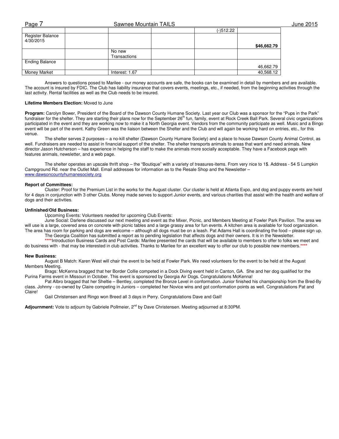| Page                          | Sawnee Mountain TAILS |           |             | June 2015 |
|-------------------------------|-----------------------|-----------|-------------|-----------|
|                               |                       | (-)512.22 |             |           |
| Register Balance<br>4/30/2015 |                       |           |             |           |
|                               |                       |           | \$46,662.79 |           |
|                               | No new                |           |             |           |
|                               | Transactions          |           |             |           |
| <b>Ending Balance</b>         |                       |           |             |           |
|                               |                       |           | 46,662.79   |           |
| Money Market                  | Interest: 1.67        |           | 40,568.12   |           |

Answers to questions posed to Marilee - our money accounts are safe, the books can be examined in detail by members and are available. The account is insured by FDIC. The Club has liability insurance that covers events, meetings, etc., if needed, from the beginning activities through the last activity. Rental facilities as well as the Club needs to be insured.

#### **Lifetime Members Election:** Moved to June

**Program:** Carolyn Bower, President of the Board of the Dawson County Humane Society. Last year our Club was a sponsor for the "Pups in the Park" fundraiser for the shelter. They are starting their plans now for the September 26<sup>th</sup> fun, family, event at Rock Creek Ball Park. Several civic organizations participated in the event and they are working now to make it a North Georgia event. Vendors from the community participate as well. Music and a Bingo event will be part of the event. Kathy Green was the liaison between the Shelter and the Club and will again be working hard on entries, etc., for this venue.

The shelter serves 2 purposes – a no-kill shelter (Dawson County Humane Society) and a place to house Dawson County Animal Control, as well. Fundraisers are needed to assist in financial support of the shelter. The shelter transports animals to areas that want and need animals. New director Jason Hutcherson – has experience in helping the staff to make the animals more socially acceptable. They have a Facebook page with features animals, newsletter, and a web page.

The shelter operates an upscale thrift shop – the "Boutique" with a variety of treasures-items. From very nice to 1\$. Address - 54 S Lumpkin Campground Rd. near the Outlet Mall. Email addresses for information as to the Resale Shop and the Newsletter – www.dawsoncountyhumanesociety.org

#### **Report of Committees:**

Cluster: Proof for the Premium List in the works for the August cluster. Our cluster is held at Atlanta Expo, and dog and puppy events are held for 4 days in conjunction with 3 other Clubs. Money made serves to support Junior events, and various charities that assist with the health and welfare of dogs and their activities.

#### **Unfinished/Old Business:**

Upcoming Events: Volunteers needed for upcoming Club Events:

June Social: Darlene discussed our next meeting and event as the Mixer, Picnic, and Members Meeting at Fowler Park Pavilion. The area we will use is a large, covered area on concrete with picnic tables and a large grassy area for fun events. A kitchen area is available for food organization. The area has room for parking and dogs are welcome – although all dogs must be on a leash. Pat Adams Hall is coordinating the food – please sign up.

The Georgia Coalition has submitted a report as to pending legislation that affects dogs and their owners. It is in the Newsletter. **\*\*\*\***Introduction Business Cards and Post Cards: Marilee presented the cards that will be available to members to offer to folks we meet and do business with - that may be interested in club activities. Thanks to Marilee for an excellent way to offer our club to possible new members.**\*\*\*\***

#### **New Business:**

 August B Match: Karen West will chair the event to be held at Fowler Park. We need volunteers for the event to be held at the August Members Meeting.

Brags: McKenna bragged that her Border Collie competed in a Dock Diving event held in Canton, GA. She and her dog qualified for the Purina Farms event in Missouri in October. This event is sponsored by Georgia Air Dogs. Congratulations McKenna!

Pat Albro bragged that her Sheltie – Bentley, completed the Bronze Level in conformation. Junior finished his championship from the Bred-By class. Johnny - co-owned by Claire competing in Juniors – completed her Novice wins and got conformation points as well. Congratulations Pat and Claire!

Gail Christensen and Ringo won Breed all 3 days in Perry. Congratulations Dave and Gail!

Adjournment: Vote to adjourn by Gabriele Pollmeier, 2<sup>nd</sup> by Dave Christensen. Meeting adjourned at 8:30PM.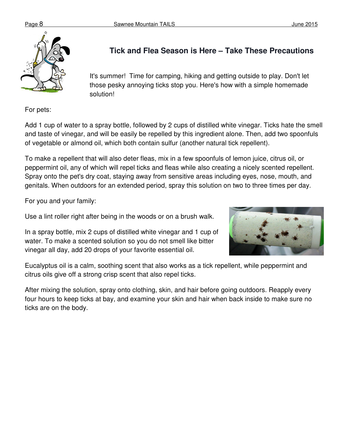

# **Tick and Flea Season is Here – Take These Precautions**

It's summer! Time for camping, hiking and getting outside to play. Don't let those pesky annoying ticks stop you. Here's how with a simple homemade solution!

For pets:

Add 1 cup of water to a spray bottle, followed by 2 cups of distilled white vinegar. Ticks hate the smell and taste of vinegar, and will be easily be repelled by this ingredient alone. Then, add two spoonfuls of vegetable or almond oil, which both contain sulfur (another natural tick repellent).

To make a repellent that will also deter fleas, mix in a few spoonfuls of lemon juice, citrus oil, or peppermint oil, any of which will repel ticks and fleas while also creating a nicely scented repellent. Spray onto the pet's dry coat, staying away from sensitive areas including eyes, nose, mouth, and genitals. When outdoors for an extended period, spray this solution on two to three times per day.

For you and your family:

Use a lint roller right after being in the woods or on a brush walk.

In a spray bottle, mix 2 cups of distilled white vinegar and 1 cup of water. To make a scented solution so you do not smell like bitter vinegar all day, add 20 drops of your favorite essential oil.



Eucalyptus oil is a calm, soothing scent that also works as a tick repellent, while peppermint and citrus oils give off a strong crisp scent that also repel ticks.

After mixing the solution, spray onto clothing, skin, and hair before going outdoors. Reapply every four hours to keep ticks at bay, and examine your skin and hair when back inside to make sure no ticks are on the body.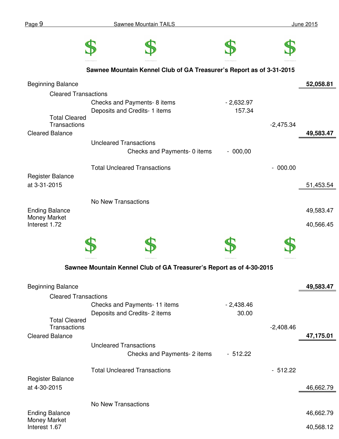|                                                         | Sawnee Mountain Kennel Club of GA Treasurer's Report as of 3-31-2015 |             |             |           |
|---------------------------------------------------------|----------------------------------------------------------------------|-------------|-------------|-----------|
| <b>Beginning Balance</b>                                |                                                                      |             |             | 52,058.81 |
| <b>Cleared Transactions</b>                             |                                                                      |             |             |           |
|                                                         | Checks and Payments- 8 items                                         | $-2,632.97$ |             |           |
| <b>Total Cleared</b><br>Transactions                    | Deposits and Credits- 1 items                                        | 157.34      | $-2,475.34$ |           |
| <b>Cleared Balance</b>                                  |                                                                      |             |             | 49,583.47 |
|                                                         | <b>Uncleared Transactions</b><br>Checks and Payments- 0 items        | $-000,00$   |             |           |
|                                                         | <b>Total Uncleared Transactions</b>                                  |             | $-000.00$   |           |
| <b>Register Balance</b><br>at 3-31-2015                 |                                                                      |             |             | 51,453.54 |
|                                                         | No New Transactions                                                  |             |             |           |
| <b>Ending Balance</b>                                   |                                                                      |             |             | 49,583.47 |
| Money Market<br>Interest 1.72                           |                                                                      |             |             | 40,566.45 |
|                                                         |                                                                      |             |             |           |
|                                                         |                                                                      |             |             |           |
|                                                         | Sawnee Mountain Kennel Club of GA Treasurer's Report as of 4-30-2015 |             |             |           |
|                                                         |                                                                      |             |             |           |
| <b>Beginning Balance</b><br><b>Cleared Transactions</b> |                                                                      |             |             | 49,583.47 |
|                                                         | Checks and Payments- 11 items                                        | $-2,438.46$ |             |           |
| <b>Total Cleared</b>                                    | Deposits and Credits- 2 items                                        | 30.00       |             |           |
| <b>Transactions</b>                                     |                                                                      |             | $-2,408.46$ |           |
| <b>Cleared Balance</b>                                  |                                                                      |             |             | 47,175.01 |
|                                                         | <b>Uncleared Transactions</b><br>Checks and Payments- 2 items        | $-512.22$   |             |           |
|                                                         | <b>Total Uncleared Transactions</b>                                  |             | $-512.22$   |           |
| <b>Register Balance</b>                                 |                                                                      |             |             |           |
| at 4-30-2015                                            |                                                                      |             |             | 46,662.79 |
|                                                         | No New Transactions                                                  |             |             |           |
| <b>Ending Balance</b><br>Money Market                   |                                                                      |             |             | 46,662.79 |